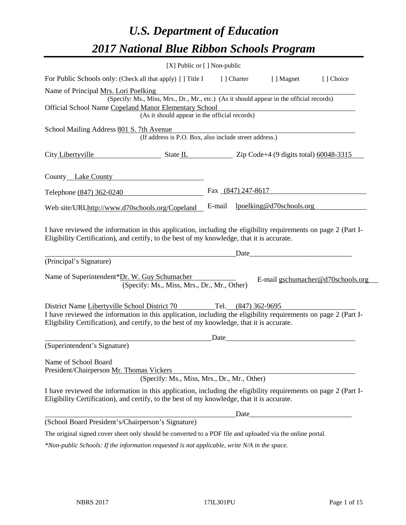# *U.S. Department of Education 2017 National Blue Ribbon Schools Program*

|                                                                                                                                                                                                              | [X] Public or [] Non-public                                                              |        |             |                          |                                   |
|--------------------------------------------------------------------------------------------------------------------------------------------------------------------------------------------------------------|------------------------------------------------------------------------------------------|--------|-------------|--------------------------|-----------------------------------|
| For Public Schools only: (Check all that apply) [] Title I                                                                                                                                                   |                                                                                          |        | [ ] Charter | [ ] Magnet               | [] Choice                         |
| Name of Principal Mrs. Lori Poelking                                                                                                                                                                         |                                                                                          |        |             |                          |                                   |
|                                                                                                                                                                                                              | (Specify: Ms., Miss, Mrs., Dr., Mr., etc.) (As it should appear in the official records) |        |             |                          |                                   |
| Official School Name Copeland Manor Elementary School                                                                                                                                                        |                                                                                          |        |             |                          |                                   |
|                                                                                                                                                                                                              | (As it should appear in the official records)                                            |        |             |                          |                                   |
| School Mailing Address 801 S. 7th Avenue                                                                                                                                                                     |                                                                                          |        |             |                          |                                   |
|                                                                                                                                                                                                              | (If address is P.O. Box, also include street address.)                                   |        |             |                          |                                   |
| City Libertyville                                                                                                                                                                                            | $\frac{1}{2}$ State IL $\frac{1}{2}$ Zip Code+4 (9 digits total) 60048-3315              |        |             |                          |                                   |
| County Lake County                                                                                                                                                                                           |                                                                                          |        |             |                          |                                   |
| Telephone (847) 362-0240                                                                                                                                                                                     |                                                                                          |        |             | Fax $(847)$ 247-8617     |                                   |
| Web site/URLhttp://www.d70schools.org/Copeland                                                                                                                                                               |                                                                                          | E-mail |             | lpoelking@d70schools.org |                                   |
| I have reviewed the information in this application, including the eligibility requirements on page 2 (Part I-<br>Eligibility Certification), and certify, to the best of my knowledge, that it is accurate. |                                                                                          |        |             | Date                     |                                   |
| (Principal's Signature)                                                                                                                                                                                      |                                                                                          |        |             |                          |                                   |
| Name of Superintendent*Dr. W. Guy Schumacher                                                                                                                                                                 | (Specify: Ms., Miss, Mrs., Dr., Mr., Other)                                              |        |             |                          | E-mail gschumacher@d70schools.org |
| District Name Libertyville School District 70 Tel. (847) 362-9695                                                                                                                                            |                                                                                          |        |             |                          |                                   |
| I have reviewed the information in this application, including the eligibility requirements on page 2 (Part I-<br>Eligibility Certification), and certify, to the best of my knowledge, that it is accurate. |                                                                                          |        |             |                          |                                   |
|                                                                                                                                                                                                              |                                                                                          | Date   |             |                          |                                   |
| (Superintendent's Signature)                                                                                                                                                                                 |                                                                                          |        |             |                          |                                   |
| Name of School Board<br>President/Chairperson Mr. Thomas Vickers                                                                                                                                             | (Specify: Ms., Miss, Mrs., Dr., Mr., Other)                                              |        |             |                          |                                   |
| I have reviewed the information in this application, including the eligibility requirements on page 2 (Part I-<br>Eligibility Certification), and certify, to the best of my knowledge, that it is accurate. |                                                                                          |        |             |                          |                                   |
|                                                                                                                                                                                                              |                                                                                          |        | Date        |                          |                                   |
| (School Board President's/Chairperson's Signature)                                                                                                                                                           |                                                                                          |        |             |                          |                                   |
| The original signed cover sheet only should be converted to a PDF file and uploaded via the online portal.                                                                                                   |                                                                                          |        |             |                          |                                   |
| *Non-public Schools: If the information requested is not applicable, write N/A in the space.                                                                                                                 |                                                                                          |        |             |                          |                                   |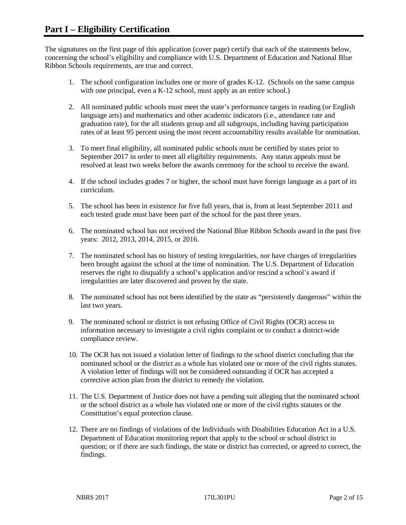The signatures on the first page of this application (cover page) certify that each of the statements below, concerning the school's eligibility and compliance with U.S. Department of Education and National Blue Ribbon Schools requirements, are true and correct.

- 1. The school configuration includes one or more of grades K-12. (Schools on the same campus with one principal, even a K-12 school, must apply as an entire school.)
- 2. All nominated public schools must meet the state's performance targets in reading (or English language arts) and mathematics and other academic indicators (i.e., attendance rate and graduation rate), for the all students group and all subgroups, including having participation rates of at least 95 percent using the most recent accountability results available for nomination.
- 3. To meet final eligibility, all nominated public schools must be certified by states prior to September 2017 in order to meet all eligibility requirements. Any status appeals must be resolved at least two weeks before the awards ceremony for the school to receive the award.
- 4. If the school includes grades 7 or higher, the school must have foreign language as a part of its curriculum.
- 5. The school has been in existence for five full years, that is, from at least September 2011 and each tested grade must have been part of the school for the past three years.
- 6. The nominated school has not received the National Blue Ribbon Schools award in the past five years: 2012, 2013, 2014, 2015, or 2016.
- 7. The nominated school has no history of testing irregularities, nor have charges of irregularities been brought against the school at the time of nomination. The U.S. Department of Education reserves the right to disqualify a school's application and/or rescind a school's award if irregularities are later discovered and proven by the state.
- 8. The nominated school has not been identified by the state as "persistently dangerous" within the last two years.
- 9. The nominated school or district is not refusing Office of Civil Rights (OCR) access to information necessary to investigate a civil rights complaint or to conduct a district-wide compliance review.
- 10. The OCR has not issued a violation letter of findings to the school district concluding that the nominated school or the district as a whole has violated one or more of the civil rights statutes. A violation letter of findings will not be considered outstanding if OCR has accepted a corrective action plan from the district to remedy the violation.
- 11. The U.S. Department of Justice does not have a pending suit alleging that the nominated school or the school district as a whole has violated one or more of the civil rights statutes or the Constitution's equal protection clause.
- 12. There are no findings of violations of the Individuals with Disabilities Education Act in a U.S. Department of Education monitoring report that apply to the school or school district in question; or if there are such findings, the state or district has corrected, or agreed to correct, the findings.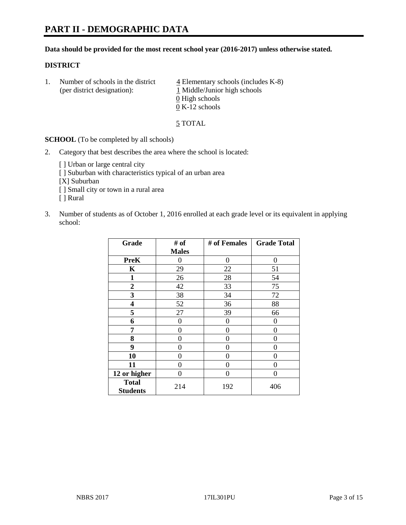# **PART II - DEMOGRAPHIC DATA**

#### **Data should be provided for the most recent school year (2016-2017) unless otherwise stated.**

#### **DISTRICT**

1. Number of schools in the district  $\frac{4}{4}$  Elementary schools (includes K-8) (per district designation): 1 Middle/Junior high schools  $\underline{0}$  High schools 0 K-12 schools

5 TOTAL

**SCHOOL** (To be completed by all schools)

- 2. Category that best describes the area where the school is located:
	- [] Urban or large central city [ ] Suburban with characteristics typical of an urban area [X] Suburban [ ] Small city or town in a rural area [ ] Rural
- 3. Number of students as of October 1, 2016 enrolled at each grade level or its equivalent in applying school:

| Grade                           | # of         | # of Females | <b>Grade Total</b> |
|---------------------------------|--------------|--------------|--------------------|
|                                 | <b>Males</b> |              |                    |
| <b>PreK</b>                     | 0            | 0            | 0                  |
| K                               | 29           | 22           | 51                 |
| $\mathbf{1}$                    | 26           | 28           | 54                 |
| $\overline{2}$                  | 42           | 33           | 75                 |
| 3                               | 38           | 34           | 72                 |
| 4                               | 52           | 36           | 88                 |
| 5                               | 27           | 39           | 66                 |
| 6                               | $\theta$     | 0            | 0                  |
| 7                               | 0            | 0            | 0                  |
| 8                               | $\theta$     | 0            | 0                  |
| 9                               | 0            | 0            | 0                  |
| 10                              | $\theta$     | 0            | 0                  |
| 11                              | 0            | 0            | 0                  |
| 12 or higher                    | 0            | 0            | 0                  |
| <b>Total</b><br><b>Students</b> | 214          | 192          | 406                |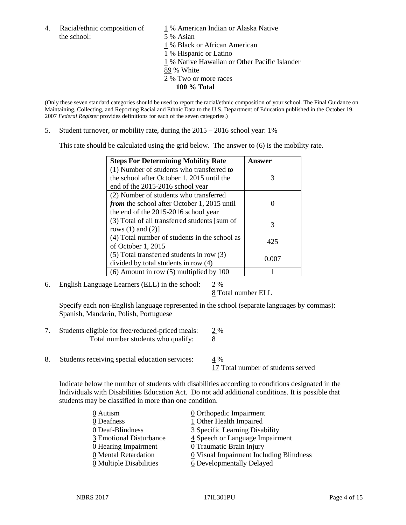the school: 5 % Asian

4. Racial/ethnic composition of  $1\%$  American Indian or Alaska Native

1 % Black or African American

- 1 % Hispanic or Latino
- 1 % Native Hawaiian or Other Pacific Islander
- 89 % White
- 2 % Two or more races
	- **100 % Total**

(Only these seven standard categories should be used to report the racial/ethnic composition of your school. The Final Guidance on Maintaining, Collecting, and Reporting Racial and Ethnic Data to the U.S. Department of Education published in the October 19, 2007 *Federal Register* provides definitions for each of the seven categories.)

5. Student turnover, or mobility rate, during the 2015 – 2016 school year: 1%

This rate should be calculated using the grid below. The answer to (6) is the mobility rate.

| <b>Steps For Determining Mobility Rate</b>         | Answer |  |
|----------------------------------------------------|--------|--|
| (1) Number of students who transferred to          |        |  |
| the school after October 1, 2015 until the         | 3      |  |
| end of the 2015-2016 school year                   |        |  |
| (2) Number of students who transferred             |        |  |
| <i>from</i> the school after October 1, 2015 until |        |  |
| the end of the 2015-2016 school year               |        |  |
| (3) Total of all transferred students [sum of      | 3      |  |
| rows $(1)$ and $(2)$ ]                             |        |  |
| (4) Total number of students in the school as      | 425    |  |
| of October 1, 2015                                 |        |  |
| (5) Total transferred students in row (3)          | 0.007  |  |
| divided by total students in row (4)               |        |  |
| $(6)$ Amount in row $(5)$ multiplied by 100        |        |  |

6. English Language Learners (ELL) in the school: 2 %

8 Total number ELL

Specify each non-English language represented in the school (separate languages by commas): Spanish, Mandarin, Polish, Portuguese

- 7. Students eligible for free/reduced-priced meals:  $\frac{2\%}{8}$ <br>Total number students who qualify:  $\frac{8}{8}$ Total number students who qualify:
- 8. Students receiving special education services: 4 %

17 Total number of students served

Indicate below the number of students with disabilities according to conditions designated in the Individuals with Disabilities Education Act. Do not add additional conditions. It is possible that students may be classified in more than one condition.

| 0 Autism                              | $\underline{0}$ Orthopedic Impairment   |
|---------------------------------------|-----------------------------------------|
| 0 Deafness                            | 1 Other Health Impaired                 |
| 0 Deaf-Blindness                      | 3 Specific Learning Disability          |
| 3 Emotional Disturbance               | 4 Speech or Language Impairment         |
| 0 Hearing Impairment                  | 0 Traumatic Brain Injury                |
| 0 Mental Retardation                  | 0 Visual Impairment Including Blindness |
| $\underline{0}$ Multiple Disabilities | <u>6</u> Developmentally Delayed        |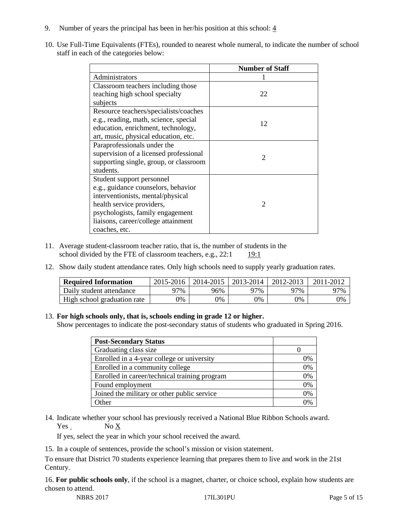- 9. Number of years the principal has been in her/his position at this school:  $\frac{4}{3}$
- 10. Use Full-Time Equivalents (FTEs), rounded to nearest whole numeral, to indicate the number of school staff in each of the categories below:

|                                        | <b>Number of Staff</b> |
|----------------------------------------|------------------------|
| Administrators                         |                        |
| Classroom teachers including those     |                        |
| teaching high school specialty         | 22                     |
| subjects                               |                        |
| Resource teachers/specialists/coaches  |                        |
| e.g., reading, math, science, special  | 12                     |
| education, enrichment, technology,     |                        |
| art, music, physical education, etc.   |                        |
| Paraprofessionals under the            |                        |
| supervision of a licensed professional | $\mathfrak{D}$         |
| supporting single, group, or classroom |                        |
| students.                              |                        |
| Student support personnel              |                        |
| e.g., guidance counselors, behavior    |                        |
| interventionists, mental/physical      |                        |
| health service providers,              | $\mathcal{D}$          |
| psychologists, family engagement       |                        |
| liaisons, career/college attainment    |                        |
| coaches, etc.                          |                        |

- 11. Average student-classroom teacher ratio, that is, the number of students in the school divided by the FTE of classroom teachers, e.g., 22:1 19:1
- 12. Show daily student attendance rates. Only high schools need to supply yearly graduation rates.

| <b>Required Information</b> | 2015-2016 | 2014-2015 | 2013-2014 | 2012-2013 |     |
|-----------------------------|-----------|-----------|-----------|-----------|-----|
| Daily student attendance    | า7%       | 96%       | 97%       | ว7%       | 97% |
| High school graduation rate | 0%        | 0%        | 0%        | 9%        | 0%  |

#### 13. **For high schools only, that is, schools ending in grade 12 or higher.**

Show percentages to indicate the post-secondary status of students who graduated in Spring 2016.

| <b>Post-Secondary Status</b>                  |    |
|-----------------------------------------------|----|
| Graduating class size                         |    |
| Enrolled in a 4-year college or university    | 0% |
| Enrolled in a community college               | 0% |
| Enrolled in career/technical training program | 0% |
| Found employment                              | 0% |
| Joined the military or other public service   | 0% |
| )ther                                         |    |

14. Indicate whether your school has previously received a National Blue Ribbon Schools award.  $Yes$  No  $X$ 

If yes, select the year in which your school received the award.

15. In a couple of sentences, provide the school's mission or vision statement.

To ensure that District 70 students experience learning that prepares them to live and work in the 21st Century.

16. **For public schools only**, if the school is a magnet, charter, or choice school, explain how students are chosen to attend.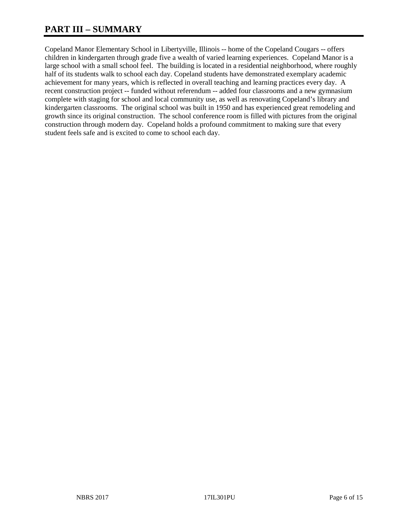# **PART III – SUMMARY**

Copeland Manor Elementary School in Libertyville, Illinois -- home of the Copeland Cougars -- offers children in kindergarten through grade five a wealth of varied learning experiences. Copeland Manor is a large school with a small school feel. The building is located in a residential neighborhood, where roughly half of its students walk to school each day. Copeland students have demonstrated exemplary academic achievement for many years, which is reflected in overall teaching and learning practices every day. A recent construction project -- funded without referendum -- added four classrooms and a new gymnasium complete with staging for school and local community use, as well as renovating Copeland's library and kindergarten classrooms. The original school was built in 1950 and has experienced great remodeling and growth since its original construction. The school conference room is filled with pictures from the original construction through modern day. Copeland holds a profound commitment to making sure that every student feels safe and is excited to come to school each day.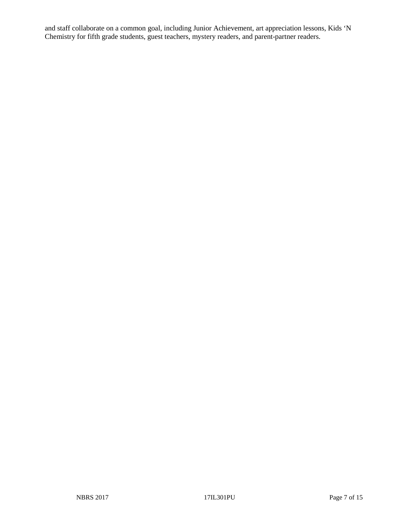and staff collaborate on a common goal, including Junior Achievement, art appreciation lessons, Kids 'N Chemistry for fifth grade students, guest teachers, mystery readers, and parent-partner readers.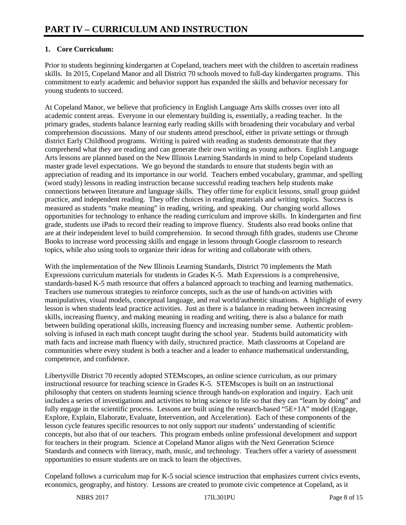## **1. Core Curriculum:**

Prior to students beginning kindergarten at Copeland, teachers meet with the children to ascertain readiness skills. In 2015, Copeland Manor and all District 70 schools moved to full-day kindergarten programs. This commitment to early academic and behavior support has expanded the skills and behavior necessary for young students to succeed.

At Copeland Manor, we believe that proficiency in English Language Arts skills crosses over into all academic content areas. Everyone in our elementary building is, essentially, a reading teacher. In the primary grades, students balance learning early reading skills with broadening their vocabulary and verbal comprehension discussions. Many of our students attend preschool, either in private settings or through district Early Childhood programs. Writing is paired with reading as students demonstrate that they comprehend what they are reading and can generate their own writing as young authors. English Language Arts lessons are planned based on the New Illinois Learning Standards in mind to help Copeland students master grade level expectations. We go beyond the standards to ensure that students begin with an appreciation of reading and its importance in our world. Teachers embed vocabulary, grammar, and spelling (word study) lessons in reading instruction because successful reading teachers help students make connections between literature and language skills. They offer time for explicit lessons, small group guided practice, and independent reading. They offer choices in reading materials and writing topics. Success is measured as students "make meaning" in reading, writing, and speaking. Our changing world allows opportunities for technology to enhance the reading curriculum and improve skills. In kindergarten and first grade, students use iPads to record their reading to improve fluency. Students also read books online that are at their independent level to build comprehension. In second through fifth grades, students use Chrome Books to increase word processing skills and engage in lessons through Google classroom to research topics, while also using tools to organize their ideas for writing and collaborate with others.

With the implementation of the New Illinois Learning Standards, District 70 implements the Math Expressions curriculum materials for students in Grades K-5. Math Expressions is a comprehensive, standards-based K-5 math resource that offers a balanced approach to teaching and learning mathematics. Teachers use numerous strategies to reinforce concepts, such as the use of hands-on activities with manipulatives, visual models, conceptual language, and real world/authentic situations. A highlight of every lesson is when students lead practice activities. Just as there is a balance in reading between increasing skills, increasing fluency, and making meaning in reading and writing, there is also a balance for math between building operational skills, increasing fluency and increasing number sense. Authentic problemsolving is infused in each math concept taught during the school year. Students build automaticity with math facts and increase math fluency with daily, structured practice. Math classrooms at Copeland are communities where every student is both a teacher and a leader to enhance mathematical understanding, competence, and confidence.

Libertyville District 70 recently adopted STEMscopes, an online science curriculum, as our primary instructional resource for teaching science in Grades K-5. STEMscopes is built on an instructional philosophy that centers on students learning science through hands-on exploration and inquiry. Each unit includes a series of investigations and activities to bring science to life so that they can "learn by doing" and fully engage in the scientific process. Lessons are built using the research-based "5E+1A" model (Engage, Explore, Explain, Elaborate, Evaluate, Intervention, and Acceleration). Each of these components of the lesson cycle features specific resources to not only support our students' understanding of scientific concepts, but also that of our teachers. This program embeds online professional development and support for teachers in their program. Science at Copeland Manor aligns with the Next Generation Science Standards and connects with literacy, math, music, and technology. Teachers offer a variety of assessment opportunities to ensure students are on track to learn the objectives.

Copeland follows a curriculum map for K-5 social science instruction that emphasizes current civics events, economics, geography, and history. Lessons are created to promote civic competence at Copeland, as it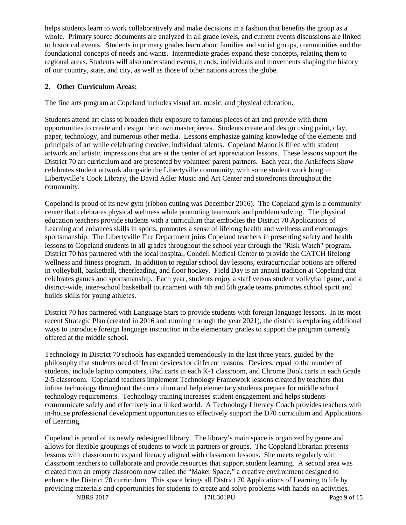helps students learn to work collaboratively and make decisions in a fashion that benefits the group as a whole. Primary source documents are analyzed in all grade levels, and current events discussions are linked to historical events. Students in primary grades learn about families and social groups, communities and the foundational concepts of needs and wants. Intermediate grades expand these concepts, relating them to regional areas. Students will also understand events, trends, individuals and movements shaping the history of our country, state, and city, as well as those of other nations across the globe.

### **2. Other Curriculum Areas:**

The fine arts program at Copeland includes visual art, music, and physical education.

Students attend art class to broaden their exposure to famous pieces of art and provide with them opportunities to create and design their own masterpieces. Students create and design using paint, clay, paper, technology, and numerous other media. Lessons emphasize gaining knowledge of the elements and principals of art while celebrating creative, individual talents. Copeland Manor is filled with student artwork and artistic impressions that are at the center of art appreciation lessons. These lessons support the District 70 art curriculum and are presented by volunteer parent partners. Each year, the ArtEffects Show celebrates student artwork alongside the Libertyville community, with some student work hung in Libertyville's Cook Library, the David Adler Music and Art Center and storefronts throughout the community.

Copeland is proud of its new gym (ribbon cutting was December 2016). The Copeland gym is a community center that celebrates physical wellness while promoting teamwork and problem solving. The physical education teachers provide students with a curriculum that embodies the District 70 Applications of Learning and enhances skills in sports, promotes a sense of lifelong health and wellness and encourages sportsmanship. The Libertyville Fire Department joins Copeland teachers in presenting safety and health lessons to Copeland students in all grades throughout the school year through the "Risk Watch" program. District 70 has partnered with the local hospital, Condell Medical Center to provide the CATCH lifelong wellness and fitness program. In addition to regular school day lessons, extracurricular options are offered in volleyball, basketball, cheerleading, and floor hockey. Field Day is an annual tradition at Copeland that celebrates games and sportsmanship. Each year, students enjoy a staff versus student volleyball game, and a district-wide, inter-school basketball tournament with 4th and 5th grade teams promotes school spirit and builds skills for young athletes.

District 70 has partnered with Language Stars to provide students with foreign language lessons. In its most recent Strategic Plan (created in 2016 and running through the year 2021), the district is exploring additional ways to introduce foreign language instruction in the elementary grades to support the program currently offered at the middle school.

Technology in District 70 schools has expanded tremendously in the last three years, guided by the philosophy that students need different devices for different reasons. Devices, equal to the number of students, include laptop computers, iPad carts in each K-1 classroom, and Chrome Book carts in each Grade 2-5 classroom. Copeland teachers implement Technology Framework lessons created by teachers that infuse technology throughout the curriculum and help elementary students prepare for middle school technology requirements. Technology training increases student engagement and helps students communicate safely and effectively in a linked world. A Technology Literacy Coach provides teachers with in-house professional development opportunities to effectively support the D70 curriculum and Applications of Learning.

Copeland is proud of its newly redesigned library. The library's main space is organized by genre and allows for flexible groupings of students to work in partners or groups. The Copeland librarian presents lessons with classroom to expand literacy aligned with classroom lessons. She meets regularly with classroom teachers to collaborate and provide resources that support student learning. A second area was created from an empty classroom now called the "Maker Space," a creative environment designed to enhance the District 70 curriculum. This space brings all District 70 Applications of Learning to life by providing materials and opportunities for students to create and solve problems with hands-on activities.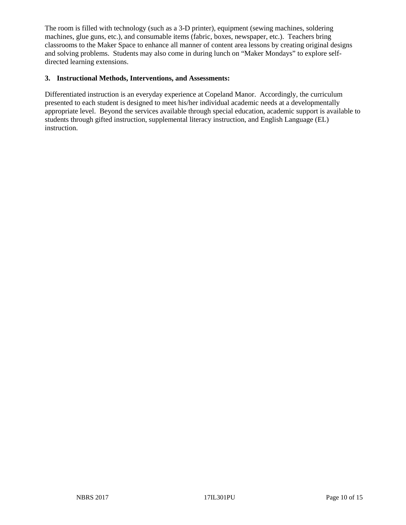The room is filled with technology (such as a 3-D printer), equipment (sewing machines, soldering machines, glue guns, etc.), and consumable items (fabric, boxes, newspaper, etc.). Teachers bring classrooms to the Maker Space to enhance all manner of content area lessons by creating original designs and solving problems. Students may also come in during lunch on "Maker Mondays" to explore selfdirected learning extensions.

#### **3. Instructional Methods, Interventions, and Assessments:**

Differentiated instruction is an everyday experience at Copeland Manor. Accordingly, the curriculum presented to each student is designed to meet his/her individual academic needs at a developmentally appropriate level. Beyond the services available through special education, academic support is available to students through gifted instruction, supplemental literacy instruction, and English Language (EL) instruction.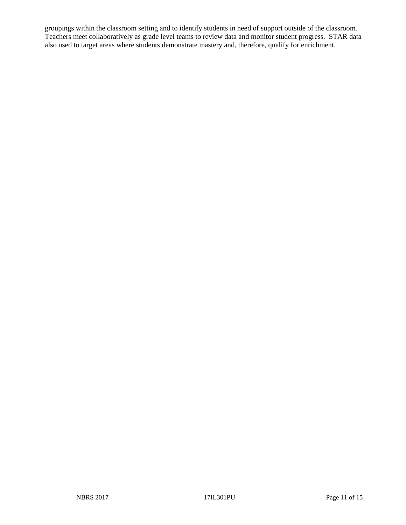groupings within the classroom setting and to identify students in need of support outside of the classroom. Teachers meet collaboratively as grade level teams to review data and monitor student progress. STAR data also used to target areas where students demonstrate mastery and, therefore, qualify for enrichment.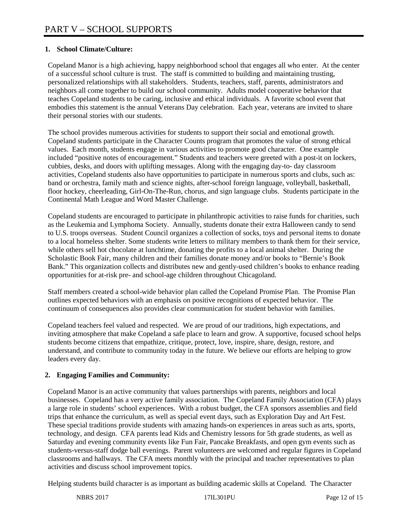## **1. School Climate/Culture:**

Copeland Manor is a high achieving, happy neighborhood school that engages all who enter. At the center of a successful school culture is trust. The staff is committed to building and maintaining trusting, personalized relationships with all stakeholders. Students, teachers, staff, parents, administrators and neighbors all come together to build our school community. Adults model cooperative behavior that teaches Copeland students to be caring, inclusive and ethical individuals. A favorite school event that embodies this statement is the annual Veterans Day celebration. Each year, veterans are invited to share their personal stories with our students.

The school provides numerous activities for students to support their social and emotional growth. Copeland students participate in the Character Counts program that promotes the value of strong ethical values. Each month, students engage in various activities to promote good character. One example included "positive notes of encouragement." Students and teachers were greeted with a post-it on lockers, cubbies, desks, and doors with uplifting messages. Along with the engaging day-to- day classroom activities, Copeland students also have opportunities to participate in numerous sports and clubs, such as: band or orchestra, family math and science nights, after-school foreign language, volleyball, basketball, floor hockey, cheerleading, Girl-On-The-Run, chorus, and sign language clubs. Students participate in the Continental Math League and Word Master Challenge.

Copeland students are encouraged to participate in philanthropic activities to raise funds for charities, such as the Leukemia and Lymphoma Society. Annually, students donate their extra Halloween candy to send to U.S. troops overseas. Student Council organizes a collection of socks, toys and personal items to donate to a local homeless shelter. Some students write letters to military members to thank them for their service, while others sell hot chocolate at lunchtime, donating the profits to a local animal shelter. During the Scholastic Book Fair, many children and their families donate money and/or books to "Bernie's Book Bank." This organization collects and distributes new and gently-used children's books to enhance reading opportunities for at-risk pre- and school-age children throughout Chicagoland.

Staff members created a school-wide behavior plan called the Copeland Promise Plan. The Promise Plan outlines expected behaviors with an emphasis on positive recognitions of expected behavior. The continuum of consequences also provides clear communication for student behavior with families.

Copeland teachers feel valued and respected. We are proud of our traditions, high expectations, and inviting atmosphere that make Copeland a safe place to learn and grow. A supportive, focused school helps students become citizens that empathize, critique, protect, love, inspire, share, design, restore, and understand, and contribute to community today in the future. We believe our efforts are helping to grow leaders every day.

## **2. Engaging Families and Community:**

Copeland Manor is an active community that values partnerships with parents, neighbors and local businesses. Copeland has a very active family association. The Copeland Family Association (CFA) plays a large role in students' school experiences. With a robust budget, the CFA sponsors assemblies and field trips that enhance the curriculum, as well as special event days, such as Exploration Day and Art Fest. These special traditions provide students with amazing hands-on experiences in areas such as arts, sports, technology, and design. CFA parents lead Kids and Chemistry lessons for 5th grade students, as well as Saturday and evening community events like Fun Fair, Pancake Breakfasts, and open gym events such as students-versus-staff dodge ball evenings. Parent volunteers are welcomed and regular figures in Copeland classrooms and hallways. The CFA meets monthly with the principal and teacher representatives to plan activities and discuss school improvement topics.

Helping students build character is as important as building academic skills at Copeland. The Character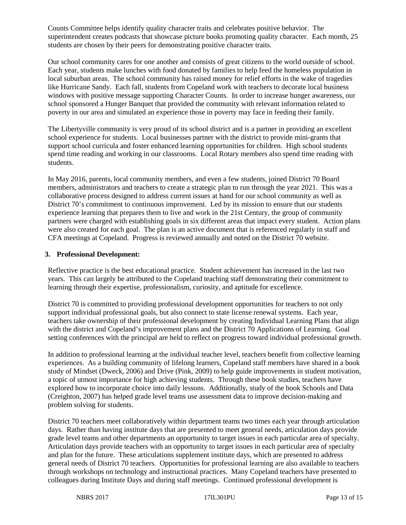Counts Committee helps identify quality character traits and celebrates positive behavior. The superintendent creates podcasts that showcase picture books promoting quality character. Each month, 25 students are chosen by their peers for demonstrating positive character traits.

Our school community cares for one another and consists of great citizens to the world outside of school. Each year, students make lunches with food donated by families to help feed the homeless population in local suburban areas. The school community has raised money for relief efforts in the wake of tragedies like Hurricane Sandy. Each fall, students from Copeland work with teachers to decorate local business windows with positive message supporting Character Counts. In order to increase hunger awareness, our school sponsored a Hunger Banquet that provided the community with relevant information related to poverty in our area and simulated an experience those in poverty may face in feeding their family.

The Libertyville community is very proud of its school district and is a partner in providing an excellent school experience for students. Local businesses partner with the district to provide mini-grants that support school curricula and foster enhanced learning opportunities for children. High school students spend time reading and working in our classrooms. Local Rotary members also spend time reading with students.

In May 2016, parents, local community members, and even a few students, joined District 70 Board members, administrators and teachers to create a strategic plan to run through the year 2021. This was a collaborative process designed to address current issues at hand for our school community as well as District 70's commitment to continuous improvement. Led by its mission to ensure that our students experience learning that prepares them to live and work in the 21st Century, the group of community partners were charged with establishing goals in six different areas that impact every student. Action plans were also created for each goal. The plan is an active document that is referenced regularly in staff and CFA meetings at Copeland. Progress is reviewed annually and noted on the District 70 website.

#### **3. Professional Development:**

Reflective practice is the best educational practice. Student achievement has increased in the last two years. This can largely be attributed to the Copeland teaching staff demonstrating their commitment to learning through their expertise, professionalism, curiosity, and aptitude for excellence.

District 70 is committed to providing professional development opportunities for teachers to not only support individual professional goals, but also connect to state license renewal systems. Each year, teachers take ownership of their professional development by creating Individual Learning Plans that align with the district and Copeland's improvement plans and the District 70 Applications of Learning. Goal setting conferences with the principal are held to reflect on progress toward individual professional growth.

In addition to professional learning at the individual teacher level, teachers benefit from collective learning experiences. As a building community of lifelong learners, Copeland staff members have shared in a book study of Mindset (Dweck, 2006) and Drive (Pink, 2009) to help guide improvements in student motivation, a topic of utmost importance for high achieving students. Through these book studies, teachers have explored how to incorporate choice into daily lessons. Additionally, study of the book Schools and Data (Creighton, 2007) has helped grade level teams use assessment data to improve decision-making and problem solving for students.

District 70 teachers meet collaboratively within department teams two times each year through articulation days. Rather than having institute days that are presented to meet general needs, articulation days provide grade level teams and other departments an opportunity to target issues in each particular area of specialty. Articulation days provide teachers with an opportunity to target issues in each particular area of specialty and plan for the future. These articulations supplement institute days, which are presented to address general needs of District 70 teachers. Opportunities for professional learning are also available to teachers through workshops on technology and instructional practices. Many Copeland teachers have presented to colleagues during Institute Days and during staff meetings. Continued professional development is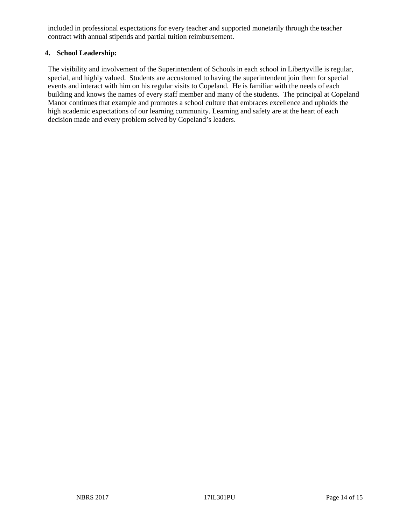included in professional expectations for every teacher and supported monetarily through the teacher contract with annual stipends and partial tuition reimbursement.

#### **4. School Leadership:**

The visibility and involvement of the Superintendent of Schools in each school in Libertyville is regular, special, and highly valued. Students are accustomed to having the superintendent join them for special events and interact with him on his regular visits to Copeland. He is familiar with the needs of each building and knows the names of every staff member and many of the students. The principal at Copeland Manor continues that example and promotes a school culture that embraces excellence and upholds the high academic expectations of our learning community. Learning and safety are at the heart of each decision made and every problem solved by Copeland's leaders.